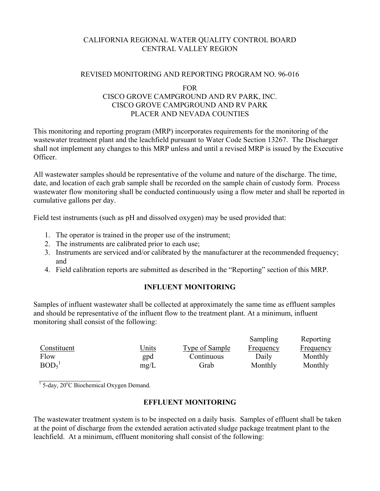# CALIFORNIA REGIONAL WATER QUALITY CONTROL BOARD CENTRAL VALLEY REGION

### REVISED MONITORING AND REPORTING PROGRAM NO. 96-016

#### FOR

## CISCO GROVE CAMPGROUND AND RV PARK, INC. CISCO GROVE CAMPGROUND AND RV PARK PLACER AND NEVADA COUNTIES

This monitoring and reporting program (MRP) incorporates requirements for the monitoring of the wastewater treatment plant and the leachfield pursuant to Water Code Section 13267. The Discharger shall not implement any changes to this MRP unless and until a revised MRP is issued by the Executive Officer.

All wastewater samples should be representative of the volume and nature of the discharge. The time, date, and location of each grab sample shall be recorded on the sample chain of custody form. Process wastewater flow monitoring shall be conducted continuously using a flow meter and shall be reported in cumulative gallons per day.

Field test instruments (such as pH and dissolved oxygen) may be used provided that:

- 1. The operator is trained in the proper use of the instrument;
- 2. The instruments are calibrated prior to each use;
- 3. Instruments are serviced and/or calibrated by the manufacturer at the recommended frequency; and
- 4. Field calibration reports are submitted as described in the "Reporting" section of this MRP.

# **INFLUENT MONITORING**

Samples of influent wastewater shall be collected at approximately the same time as effluent samples and should be representative of the influent flow to the treatment plant. At a minimum, influent monitoring shall consist of the following:

|                  |              |                | Sampling  | Reporting |
|------------------|--------------|----------------|-----------|-----------|
| Constituent      | <u>Units</u> | Type of Sample | Frequency | Frequency |
| Flow             | gpd          | Continuous     | Daily     | Monthly   |
| BOD <sub>5</sub> | mg/L         | Grab           | Monthly   | Monthly   |

l <sup>1</sup> 5-day, 20°C Biochemical Oxygen Demand.

# **EFFLUENT MONITORING**

The wastewater treatment system is to be inspected on a daily basis. Samples of effluent shall be taken at the point of discharge from the extended aeration activated sludge package treatment plant to the leachfield. At a minimum, effluent monitoring shall consist of the following: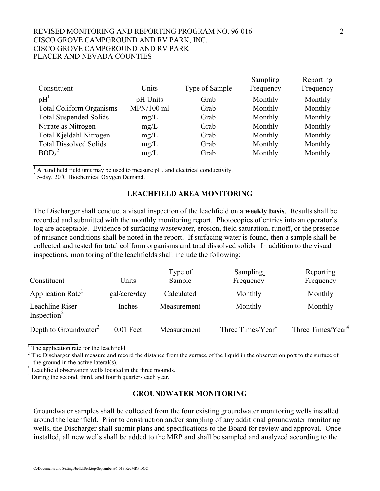### REVISED MONITORING AND REPORTING PROGRAM NO. 96-016 CISCO GROVE CAMPGROUND AND RV PARK, INC. CISCO GROVE CAMPGROUND AND RV PARK PLACER AND NEVADA COUNTIES

|                                 |              |                | Sampling  | Reporting |
|---------------------------------|--------------|----------------|-----------|-----------|
| Constituent                     | Units        | Type of Sample | Frequency | Frequency |
| pH <sup>1</sup>                 | pH Units     | Grab           | Monthly   | Monthly   |
| <b>Total Coliform Organisms</b> | $MPN/100$ ml | Grab           | Monthly   | Monthly   |
| <b>Total Suspended Solids</b>   | mg/L         | Grab           | Monthly   | Monthly   |
| Nitrate as Nitrogen             | mg/L         | Grab           | Monthly   | Monthly   |
| Total Kjeldahl Nitrogen         | mg/L         | Grab           | Monthly   | Monthly   |
| <b>Total Dissolved Solids</b>   | mg/L         | Grab           | Monthly   | Monthly   |
| BOD <sub>5</sub> <sup>2</sup>   | mg/L         | Grab           | Monthly   | Monthly   |

 $<sup>1</sup>$  A hand held field unit may be used to measure pH, and electrical conductivity.</sup>

 $2^2$  5-day, 20 $^{\circ}$ C Biochemical Oxygen Demand.

l

#### **LEACHFIELD AREA MONITORING**

The Discharger shall conduct a visual inspection of the leachfield on a **weekly basis**. Results shall be recorded and submitted with the monthly monitoring report. Photocopies of entries into an operator's log are acceptable. Evidence of surfacing wastewater, erosion, field saturation, runoff, or the presence of nuisance conditions shall be noted in the report. If surfacing water is found, then a sample shall be collected and tested for total coliform organisms and total dissolved solids. In addition to the visual inspections, monitoring of the leachfields shall include the following:

|                                            |              | Type of     | Sampling                      | Reporting                     |
|--------------------------------------------|--------------|-------------|-------------------------------|-------------------------------|
| Constituent                                | Units        | Sample      | Frequency                     | Frequency                     |
| Application Rate <sup>1</sup>              | gal/acre•day | Calculated  | Monthly                       | Monthly                       |
| Leachline Riser<br>Inspection <sup>2</sup> | Inches       | Measurement | Monthly                       | Monthly                       |
| Depth to Groundwater <sup>3</sup>          | $0.01$ Feet  | Measurement | Three Times/Year <sup>4</sup> | Three Times/Year <sup>4</sup> |

<sup>1</sup> The application rate for the leachfield

 $2^2$  The Discharger shall measure and record the distance from the surface of the liquid in the observation port to the surface of

the ground in the active lateral(s).<br><sup>3</sup> Leachfield observation wells located in the three mounds.

<sup>4</sup> During the second, third, and fourth quarters each year.

### **GROUNDWATER MONITORING**

Groundwater samples shall be collected from the four existing groundwater monitoring wells installed around the leachfield. Prior to construction and/or sampling of any additional groundwater monitoring wells, the Discharger shall submit plans and specifications to the Board for review and approval. Once installed, all new wells shall be added to the MRP and shall be sampled and analyzed according to the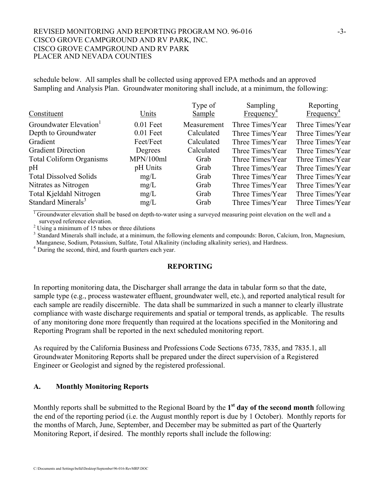### REVISED MONITORING AND REPORTING PROGRAM NO. 96-016 CISCO GROVE CAMPGROUND AND RV PARK, INC. CISCO GROVE CAMPGROUND AND RV PARK PLACER AND NEVADA COUNTIES

schedule below. All samples shall be collected using approved EPA methods and an approved Sampling and Analysis Plan. Groundwater monitoring shall include, at a minimum, the following:

| Constituent                        | Units       | Type of<br><b>Sample</b> | Sampling<br>Frequency <sup>-1</sup> | Reporting<br>Frequency <sup>4</sup> |
|------------------------------------|-------------|--------------------------|-------------------------------------|-------------------------------------|
| Groundwater Elevation <sup>1</sup> | $0.01$ Feet | Measurement              | Three Times/Year                    | Three Times/Year                    |
| Depth to Groundwater               | $0.01$ Feet | Calculated               | Three Times/Year                    | Three Times/Year                    |
| Gradient                           | Feet/Feet   | Calculated               | Three Times/Year                    | Three Times/Year                    |
| <b>Gradient Direction</b>          | Degrees     | Calculated               | Three Times/Year                    | Three Times/Year                    |
| <b>Total Coliform Organisms</b>    | MPN/100ml   | Grab                     | Three Times/Year                    | Three Times/Year                    |
| pH                                 | pH Units    | Grab                     | Three Times/Year                    | Three Times/Year                    |
| <b>Total Dissolved Solids</b>      | mg/L        | Grab                     | Three Times/Year                    | Three Times/Year                    |
| Nitrates as Nitrogen               | mg/L        | Grab                     | Three Times/Year                    | Three Times/Year                    |
| Total Kjeldahl Nitrogen            | mg/L        | Grab                     | Three Times/Year                    | Three Times/Year                    |
| Standard Minerals <sup>3</sup>     | mg/L        | Grab                     | Three Times/Year                    | Three Times/Year                    |
|                                    |             |                          |                                     |                                     |

 $1$  Groundwater elevation shall be based on depth-to-water using a surveyed measuring point elevation on the well and a

surveyed reference elevation.<br><sup>2</sup> Using a minimum of 15 tubes or three dilutions

<sup>3</sup> Standard Minerals shall include, at a minimum, the following elements and compounds: Boron, Calcium, Iron, Magnesium, Manganese, Sodium, Potassium, Sulfate, Total Alkalinity (including alkalinity series), and Hardness. 4 During the second, third, and fourth quarters each year.

## **REPORTING**

In reporting monitoring data, the Discharger shall arrange the data in tabular form so that the date, sample type (e.g., process wastewater effluent, groundwater well, etc.), and reported analytical result for each sample are readily discernible. The data shall be summarized in such a manner to clearly illustrate compliance with waste discharge requirements and spatial or temporal trends, as applicable. The results of any monitoring done more frequently than required at the locations specified in the Monitoring and Reporting Program shall be reported in the next scheduled monitoring report.

As required by the California Business and Professions Code Sections 6735, 7835, and 7835.1, all Groundwater Monitoring Reports shall be prepared under the direct supervision of a Registered Engineer or Geologist and signed by the registered professional.

#### **A. Monthly Monitoring Reports**

Monthly reports shall be submitted to the Regional Board by the **1st day of the second month** following the end of the reporting period (i.e. the August monthly report is due by 1 October). Monthly reports for the months of March, June, September, and December may be submitted as part of the Quarterly Monitoring Report, if desired. The monthly reports shall include the following: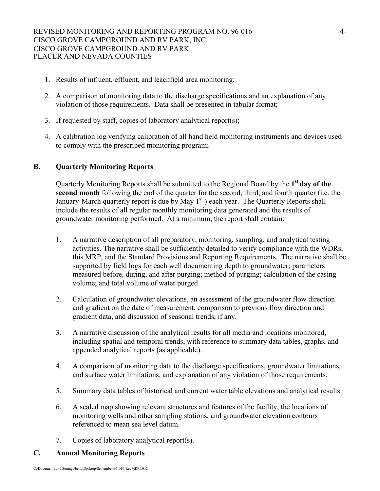- 1. Results of influent, effluent, and leachfield area monitoring;
- 2. A comparison of monitoring data to the discharge specifications and an explanation of any violation of those requirements. Data shall be presented in tabular format;
- 3. If requested by staff, copies of laboratory analytical report(s);
- 4. A calibration log verifying calibration of all hand held monitoring instruments and devices used to comply with the prescribed monitoring program;

## **B. Quarterly Monitoring Reports**

Quarterly Monitoring Reports shall be submitted to the Regional Board by the **1st day of the second month** following the end of the quarter for the second, third, and fourth quarter (i.e. the January-March quarterly report is due by May  $1<sup>st</sup>$ ) each year. The Quarterly Reports shall include the results of all regular monthly monitoring data generated and the results of groundwater monitoring performed. At a minimum, the report shall contain:

- 1. A narrative description of all preparatory, monitoring, sampling, and analytical testing activities. The narrative shall be sufficiently detailed to verify compliance with the WDRs, this MRP, and the Standard Provisions and Reporting Requirements. The narrative shall be supported by field logs for each well documenting depth to groundwater; parameters measured before, during, and after purging; method of purging; calculation of the casing volume; and total volume of water purged.
- 2. Calculation of groundwater elevations, an assessment of the groundwater flow direction and gradient on the date of measurement, comparison to previous flow direction and gradient data, and discussion of seasonal trends, if any.
- 3. A narrative discussion of the analytical results for all media and locations monitored, including spatial and temporal trends, with reference to summary data tables, graphs, and appended analytical reports (as applicable).
- 4. A comparison of monitoring data to the discharge specifications, groundwater limitations, and surface water limitations, and explanation of any violation of those requirements.
- 5. Summary data tables of historical and current water table elevations and analytical results.
- 6. A scaled map showing relevant structures and features of the facility, the locations of monitoring wells and other sampling stations, and groundwater elevation contours referenced to mean sea level datum.
- 7. Copies of laboratory analytical report(s).

# **C. Annual Monitoring Reports**